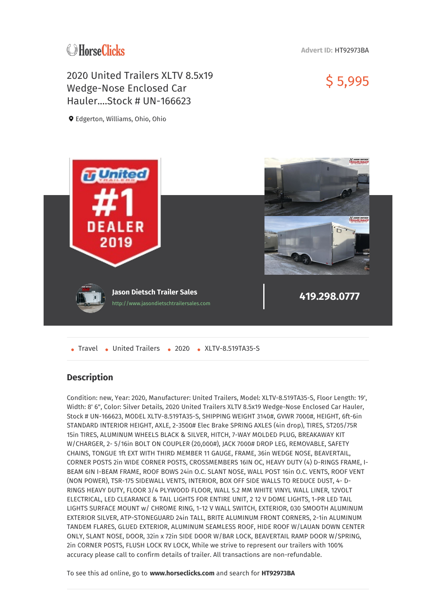## **C**HorseClicks

**Advert ID:** HT92973BA

\$ 5,995

## 2020 United Trailers XLTV 8.5x19 Wedge-Nose Enclosed Car Hauler. Stock # UN-166623

Edgerton, Williams, Ohio, Ohio



• Travel • United Trailers • 2020 • XLTV-8.519TA35-S

## **Description**

Condition: new, Year: 2020, Manufacturer: United Trailers, Model: XLTV-8.519TA35-S, Floor Length: 19', Width: 8' 6", Color: Silver Details, 2020 United Trailers XLTV 8.5x19 Wedge-Nose Enclosed Car Hauler, Stock # UN-166623, MODEL XLTV-8.519TA35-S, SHIPPING WEIGHT 3140#, GVWR 7000#, HEIGHT, 6ft-6in STANDARD INTERIOR HEIGHT, AXLE, 2-3500# Elec Brake SPRING AXLES (4in drop), TIRES, ST205/75R 15in TIRES, ALUMINUM WHEELS BLACK & SILVER, HITCH, 7-WAY MOLDED PLUG, BREAKAWAY KIT W/CHARGER, 2- 5/16in BOLT ON COUPLER (20,000#), JACK 7000# DROP LEG, REMOVABLE, SAFETY CHAINS, TONGUE 1ft EXT WITH THIRD MEMBER 11 GAUGE, FRAME, 36in WEDGE NOSE, BEAVERTAIL, CORNER POSTS 2in WIDE CORNER POSTS, CROSSMEMBERS 16IN OC, HEAVY DUTY (4) D-RINGS FRAME, I-BEAM 6IN I-BEAM FRAME, ROOF BOWS 24in O.C. SLANT NOSE, WALL POST 16in O.C. VENTS, ROOF VENT (NON POWER), TSR-175 SIDEWALL VENTS, INTERIOR, BOX OFF SIDE WALLS TO REDUCE DUST, 4- D-RINGS HEAVY DUTY, FLOOR 3/4 PLYWOOD FLOOR, WALL 5.2 MM WHITE VINYL WALL LINER, 12VOLT ELECTRICAL, LED CLEARANCE & TAIL LIGHTS FOR ENTIRE UNIT, 2 12 V DOME LIGHTS, 1-PR LED TAIL LIGHTS SURFACE MOUNT w/ CHROME RING, 1-12 V WALL SWITCH, EXTERIOR, 030 SMOOTH ALUMINUM EXTERIOR SILVER, ATP-STONEGUARD 24in TALL, BRITE ALUMINUM FRONT CORNERS, 2-1in ALUMINUM TANDEM FLARES, GLUED EXTERIOR, ALUMINUM SEAMLESS ROOF, HIDE ROOF W/LAUAN DOWN CENTER ONLY, SLANT NOSE, DOOR, 32in x 72in SIDE DOOR W/BAR LOCK, BEAVERTAIL RAMP DOOR W/SPRING, 2in CORNER POSTS, FLUSH LOCK RV LOCK, While we strive to represent our trailers with 100% accuracy please call to confirm details of trailer. All transactions are non-refundable.

To see this ad online, go to **www.horseclicks.com** and search for **HT92973BA**